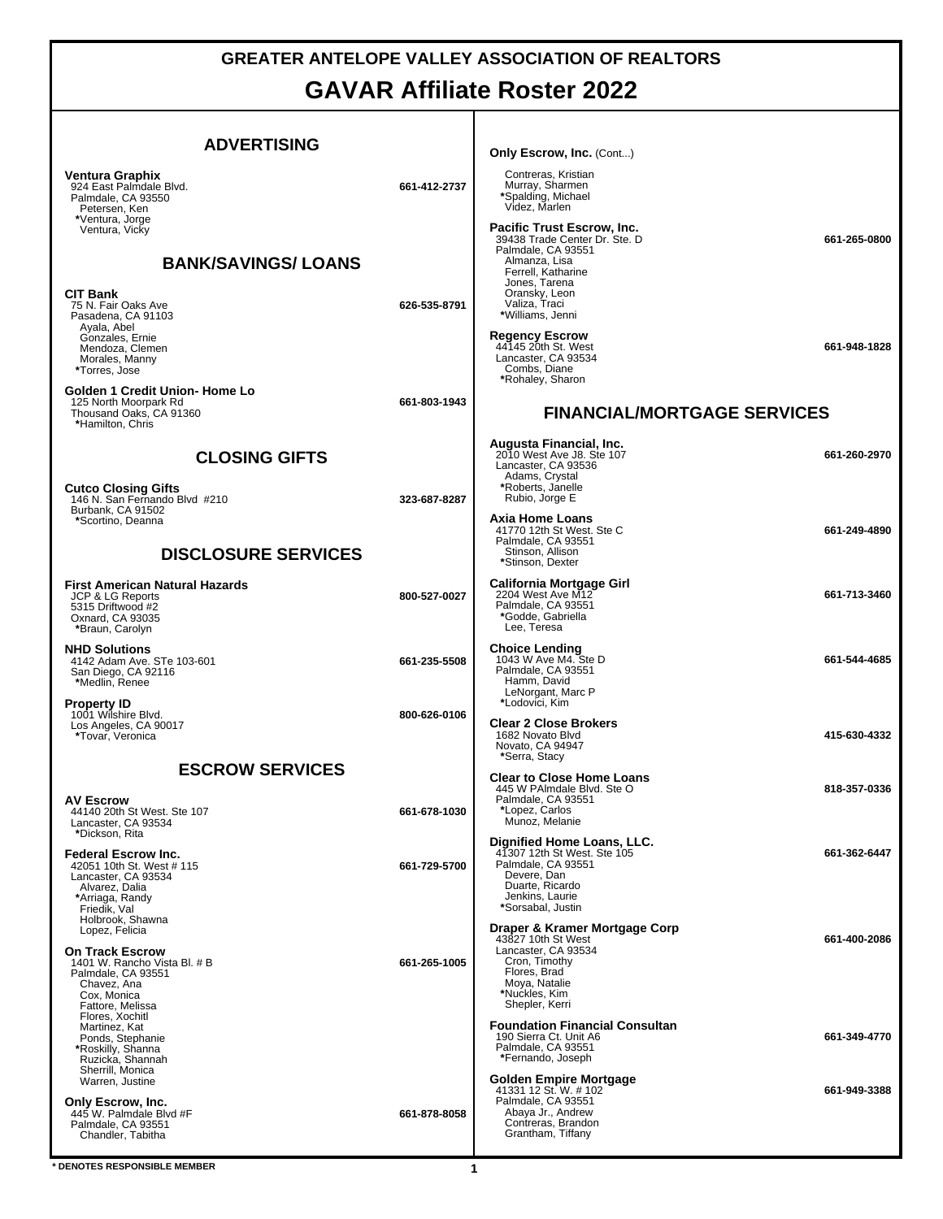## **GREATER ANTELOPE VALLEY ASSOCIATION OF REALTORS GAVAR Affiliate Roster 2022**

| <b>ADVERTISING</b>                                                                                                                                                  |              | <b>Only Escrow, Inc. (Cont)</b>                                                                                                                                                    |              |
|---------------------------------------------------------------------------------------------------------------------------------------------------------------------|--------------|------------------------------------------------------------------------------------------------------------------------------------------------------------------------------------|--------------|
| Ventura Graphix<br>924 East Palmdale Blvd.<br>Palmdale, CA 93550<br>Petersen, Ken<br>*Ventura, Jorge                                                                | 661-412-2737 | Contreras, Kristian<br>Murray, Sharmen<br>*Spalding, Michael<br>Videz, Marlen                                                                                                      |              |
| Ventura, Vicky<br><b>BANK/SAVINGS/LOANS</b><br><b>CIT Bank</b><br>75 N. Fair Oaks Ave                                                                               | 626-535-8791 | <b>Pacific Trust Escrow, Inc.</b><br>39438 Trade Center Dr. Ste. D<br>Palmdale, CA 93551<br>Almanza, Lisa<br>Ferrell, Katharine<br>Jones, Tarena<br>Oransky, Leon<br>Valiza, Traci | 661-265-0800 |
| Pasadena, CA 91103<br>Ayala, Abel<br>Gonzales, Ernie<br>Mendoza, Clemen<br>Morales, Manny<br>*Torres, Jose                                                          |              | *Williams, Jenni<br><b>Regency Escrow</b><br>44145 20th St. West<br>Lancaster, CA 93534<br>Combs, Diane<br>*Rohaley, Sharon                                                        | 661-948-1828 |
| Golden 1 Credit Union- Home Lo<br>125 North Moorpark Rd<br>Thousand Oaks, CA 91360<br>*Hamilton, Chris                                                              | 661-803-1943 | <b>FINANCIAL/MORTGAGE SERVICES</b>                                                                                                                                                 |              |
| <b>CLOSING GIFTS</b><br><b>Cutco Closing Gifts</b>                                                                                                                  | 323-687-8287 | Augusta Financial, Inc.<br>2010 West Ave J8, Ste 107<br>Lancaster, CA 93536<br>Adams, Crystal<br>*Roberts, Janelle                                                                 | 661-260-2970 |
| 146 N. San Fernando Blvd #210<br>Burbank, CA 91502<br>*Scortino, Deanna<br><b>DISCLOSURE SERVICES</b>                                                               |              | Rubio, Jorge E<br>Axia Home Loans<br>41770 12th St West. Ste C<br>Palmdale, CA 93551<br>Stinson, Allison<br>*Stinson, Dexter                                                       | 661-249-4890 |
| <b>First American Natural Hazards</b><br><b>JCP &amp; LG Reports</b><br>5315 Driftwood #2<br>Oxnard, CA 93035<br>*Braun, Carolyn                                    | 800-527-0027 | California Mortgage Girl<br>2204 West Ave M12<br>Palmdale, CA 93551<br>*Godde, Gabriella<br>Lee, Teresa                                                                            | 661-713-3460 |
| <b>NHD Solutions</b><br>4142 Adam Ave. STe 103-601<br>San Diego, CA 92116<br>*Medlin, Renee                                                                         | 661-235-5508 | <b>Choice Lending</b><br>1043 W Ave M4. Ste D<br>Palmdale, CA 93551<br>Hamm, David<br>LeNorgant, Marc P                                                                            | 661-544-4685 |
| <b>Property ID</b><br>1001 Wilshire Blvd.<br>Los Angeles, CA 90017<br>*Tovar, Veronica                                                                              | 800-626-0106 | *Lodovici, Kim<br><b>Clear 2 Close Brokers</b><br>1682 Novato Blvd<br>Novato. CA 94947<br>*Serra, Stacy                                                                            | 415-630-4332 |
| <b>ESCROW SERVICES</b>                                                                                                                                              |              | <b>Clear to Close Home Loans</b>                                                                                                                                                   |              |
| <b>AV Escrow</b><br>44140 20th St West. Ste 107<br>Lancaster, CA 93534<br>*Dickson, Rita                                                                            | 661-678-1030 | 445 W PAImdale Blvd. Ste O<br>Palmdale, CA 93551<br>*Lopez, Carlos<br>Munoz, Melanie                                                                                               | 818-357-0336 |
| <b>Federal Escrow Inc.</b><br>42051 10th St. West # 115<br>Lancaster, CA 93534<br>Alvarez, Dalia<br>*Arriaga, Randy<br>Friedik, Val<br>Holbrook, Shawna             | 661-729-5700 | Dignified Home Loans, LLC.<br>41307 12th St West. Ste 105<br>Palmdale, CA 93551<br>Devere, Dan<br>Duarte, Ricardo<br>Jenkins, Laurie<br>*Sorsabal, Justin                          | 661-362-6447 |
| Lopez, Felicia<br><b>On Track Escrow</b><br>1401 W. Rancho Vista Bl. # B<br>Palmdale, CA 93551<br>Chavez, Ana<br>Cox, Monica<br>Fattore, Melissa<br>Flores, Xochitl | 661-265-1005 | Draper & Kramer Mortgage Corp<br>43827 10th St West<br>Lancaster, CA 93534<br>Cron, Timothy<br>Flores, Brad<br>Moya, Natalie<br>*Nuckles, Kim<br>Shepler, Kerri                    | 661-400-2086 |
| Martinez, Kat<br>Ponds, Stephanie<br>*Roskilly, Shanna<br>Ruzicka, Shannah<br>Sherrill, Monica                                                                      |              | <b>Foundation Financial Consultan</b><br>190 Sierra Ct. Unit A6<br>Palmdale, CA 93551<br>*Fernando, Joseph                                                                         | 661-349-4770 |
| Warren, Justine<br>Only Escrow, Inc.<br>445 W. Palmdale Blvd #F<br>Palmdale, CA 93551<br>Chandler, Tabitha                                                          | 661-878-8058 | Golden Empire Mortgage<br>41331 12 St. W. #102<br>Palmdale, CA 93551<br>Abaya Jr., Andrew<br>Contreras, Brandon<br>Grantham, Tiffany                                               | 661-949-3388 |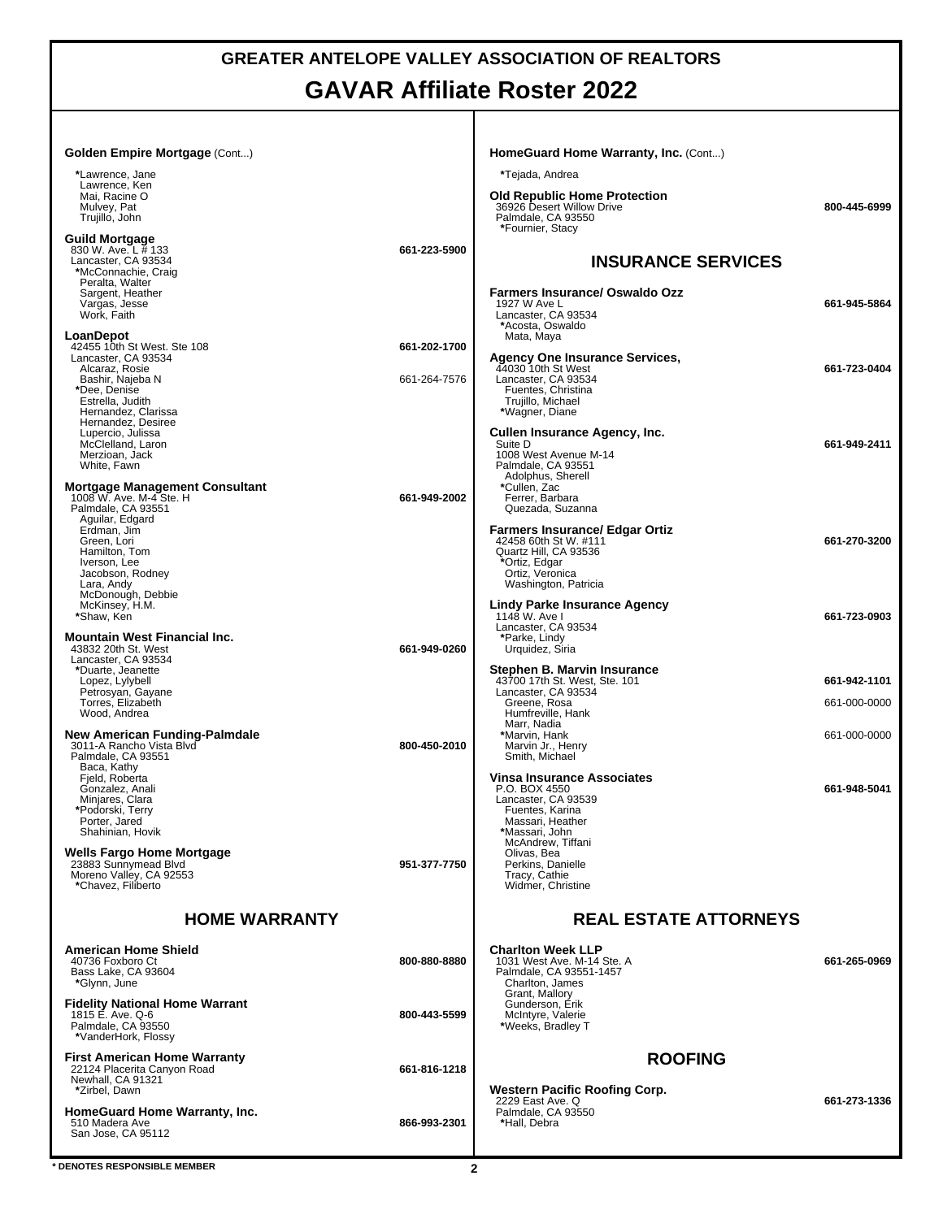## **GREATER ANTELOPE VALLEY ASSOCIATION OF REALTORS GAVAR Affiliate Roster 2022**

| Golden Empire Mortgage (Cont)                                                       |              | HomeGuard Home Warranty, Inc. (Cont)                                                                       |                              |
|-------------------------------------------------------------------------------------|--------------|------------------------------------------------------------------------------------------------------------|------------------------------|
| *Lawrence, Jane<br>Lawrence, Ken                                                    |              | *Tejada, Andrea                                                                                            |                              |
| Mai, Racine O<br>Mulvey, Pat<br>Trujillo, John                                      |              | <b>Old Republic Home Protection</b><br>36926 Desert Willow Drive<br>Palmdale, CA 93550<br>*Fournier, Stacy | 800-445-6999                 |
| Guild Mortgage<br>830 W. Ave. L # 133                                               | 661-223-5900 |                                                                                                            |                              |
| Lancaster. CA 93534<br>*McConnachie, Craig                                          |              | <b>INSURANCE SERVICES</b>                                                                                  |                              |
| Peralta, Walter<br>Sargent, Heather                                                 |              | <b>Farmers Insurance/ Oswaldo Ozz</b>                                                                      |                              |
| Vargas, Jesse<br>Work, Faith                                                        |              | 1927 W Ave L<br>Lancaster, CA 93534                                                                        | 661-945-5864                 |
| LoanDepot<br>42455 10th St West. Ste 108                                            | 661-202-1700 | *Acosta, Oswaldo<br>Mata, Maya                                                                             |                              |
| Lancaster, CA 93534<br>Alcaraz, Rosie                                               |              | Agency One Insurance Services, 44030 10th St West                                                          | 661-723-0404                 |
| Bashir, Najeba N<br>*Dee, Denise                                                    | 661-264-7576 | Lancaster, CA 93534<br>Fuentes, Christina                                                                  |                              |
| Estrella, Judith<br>Hernandez, Clarissa                                             |              | Trujillo, Michael<br>*Wagner, Diane                                                                        |                              |
| Hernandez, Desiree<br>Lupercio, Julissa                                             |              | Cullen Insurance Agency, Inc.                                                                              |                              |
| McClelland, Laron<br>Merzioan, Jack                                                 |              | Suite D<br>1008 West Avenue M-14                                                                           | 661-949-2411                 |
| White, Fawn                                                                         |              | Palmdale, CA 93551<br>Adolphus, Sherell<br>*Cullen, Zac                                                    |                              |
| Mortgage Management Consultant<br>1008 W. Ave. M-4 Ste. H<br>Palmdale, CA 93551     | 661-949-2002 | Ferrer, Barbara<br>Quezada, Suzanna                                                                        |                              |
| Aquilar, Edgard<br>Erdman, Jim                                                      |              | <b>Farmers Insurance/ Edgar Ortiz</b>                                                                      |                              |
| Green, Lori<br>Hamilton, Tom                                                        |              | 42458 60th St W. #111<br>Quartz Hill, CA 93536                                                             | 661-270-3200                 |
| Iverson, Lee<br>Jacobson, Rodney<br>Lara, Andy                                      |              | *Ortiz, Edgar<br>Ortiz, Veronica<br>Washington, Patricia                                                   |                              |
| McDonough, Debbie<br>McKinsey, H.M.                                                 |              | <b>Lindy Parke Insurance Agency</b>                                                                        |                              |
| *Shaw, Ken                                                                          |              | 1148 W. Ave I<br>Lancaster, CA 93534                                                                       | 661-723-0903                 |
| <b>Mountain West Financial Inc.</b><br>43832 20th St. West                          | 661-949-0260 | *Parke, Lindy<br>Urquidez, Siria                                                                           |                              |
| Lancaster, CA 93534<br>*Duarte, Jeanette                                            |              | Stephen B. Marvin Insurance                                                                                |                              |
| Lopez, Lylybell<br>Petrosyan, Gayane<br>Torres, Elizabeth                           |              | 43700 17th St. West, Ste. 101<br>Lancaster, CA 93534<br>Greene, Rosa                                       | 661-942-1101<br>661-000-0000 |
| Wood, Andrea                                                                        |              | Humfreville, Hank<br>Marr, Nadia                                                                           |                              |
| New American Funding-Palmdale<br>3011-A Rancho Vista Blvd                           | 800-450-2010 | *Marvin, Hank<br>Marvin Jr., Henry                                                                         | 661-000-0000                 |
| Palmdale, CA 93551<br>Baca, Kathy<br>Field, Roberta                                 |              | Smith, Michael<br><b>Vinsa Insurance Associates</b>                                                        |                              |
| Gonzalez, Anali<br>Minjares, Clara                                                  |              | P.O. BOX 4550<br>Lancaster, CA 93539                                                                       | 661-948-5041                 |
| *Podorski, Terry<br>Porter, Jared                                                   |              | Fuentes, Karina<br>Massari, Heather                                                                        |                              |
| Shahinian, Hovik                                                                    |              | *Massari, John<br>McAndrew. Tiffani                                                                        |                              |
| <b>Wells Fargo Home Mortgage</b><br>23883 Sunnymead Blvd<br>Moreno Valley, CA 92553 | 951-377-7750 | Olivas, Bea<br>Perkins, Danielle<br>Tracy, Cathie                                                          |                              |
| *Chavez, Filiberto                                                                  |              | Widmer, Christine                                                                                          |                              |
| <b>HOME WARRANTY</b>                                                                |              | <b>REAL ESTATE ATTORNEYS</b>                                                                               |                              |
| <b>American Home Shield</b><br>40736 Foxboro Ct                                     | 800-880-8880 | <b>Charlton Week LLP</b><br>1031 West Ave. M-14 Ste. A                                                     | 661-265-0969                 |
| Bass Lake. CA 93604<br>*Glynn, June                                                 |              | Palmdale, CA 93551-1457<br>Charlton, James                                                                 |                              |
| <b>Fidelity National Home Warrant</b>                                               |              | Grant, Mallory<br>Gunderson, Erik                                                                          |                              |
| 1815 E. Ave. Q-6<br>Palmdale, CA 93550<br>*VanderHork, Flossy                       | 800-443-5599 | McIntyre, Valerie<br>*Weeks, Bradley T                                                                     |                              |
| <b>First American Home Warranty</b>                                                 |              | <b>ROOFING</b>                                                                                             |                              |
| 22124 Placerita Canyon Road<br>Newhall, CA 91321                                    | 661-816-1218 |                                                                                                            |                              |
| *Zirbel, Dawn                                                                       |              | <b>Western Pacific Roofing Corp.</b><br>2229 East Ave. Q                                                   | 661-273-1336                 |
| HomeGuard Home Warranty, Inc.<br>510 Madera Ave                                     | 866-993-2301 | Palmdale, CA 93550<br>*Hall, Debra                                                                         |                              |
| San Jose, CA 95112                                                                  |              |                                                                                                            |                              |